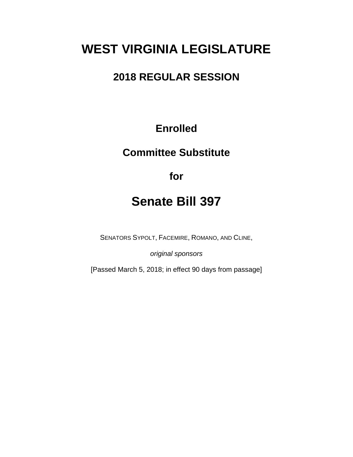# **WEST VIRGINIA LEGISLATURE**

## **2018 REGULAR SESSION**

## **Enrolled**

## **Committee Substitute**

**for**

## **Senate Bill 397**

SENATORS SYPOLT, FACEMIRE, ROMANO, AND CLINE,

*original sponsors*

[Passed March 5, 2018; in effect 90 days from passage]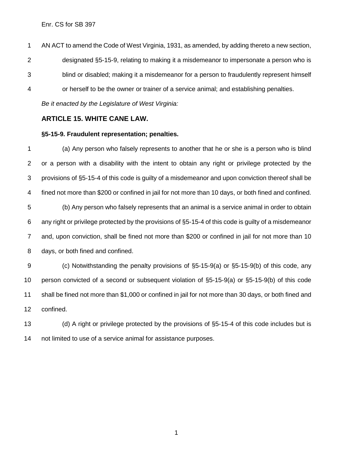Enr. CS for SB 397

 AN ACT to amend the Code of West Virginia, 1931, as amended, by adding thereto a new section, designated §5-15-9, relating to making it a misdemeanor to impersonate a person who is blind or disabled; making it a misdemeanor for a person to fraudulently represent himself or herself to be the owner or trainer of a service animal; and establishing penalties.

*Be it enacted by the Legislature of West Virginia:*

#### **ARTICLE 15. WHITE CANE LAW.**

#### **§5-15-9. Fraudulent representation; penalties.**

 (a) Any person who falsely represents to another that he or she is a person who is blind or a person with a disability with the intent to obtain any right or privilege protected by the provisions of §5-15-4 of this code is guilty of a misdemeanor and upon conviction thereof shall be fined not more than \$200 or confined in jail for not more than 10 days, or both fined and confined. (b) Any person who falsely represents that an animal is a service animal in order to obtain any right or privilege protected by the provisions of §5-15-4 of this code is guilty of a misdemeanor and, upon conviction, shall be fined not more than \$200 or confined in jail for not more than 10 days, or both fined and confined. (c) Notwithstanding the penalty provisions of §5-15-9(a) or §5-15-9(b) of this code, any

 person convicted of a second or subsequent violation of §5-15-9(a) or §5-15-9(b) of this code shall be fined not more than \$1,000 or confined in jail for not more than 30 days, or both fined and confined.

 (d) A right or privilege protected by the provisions of §5-15-4 of this code includes but is not limited to use of a service animal for assistance purposes.